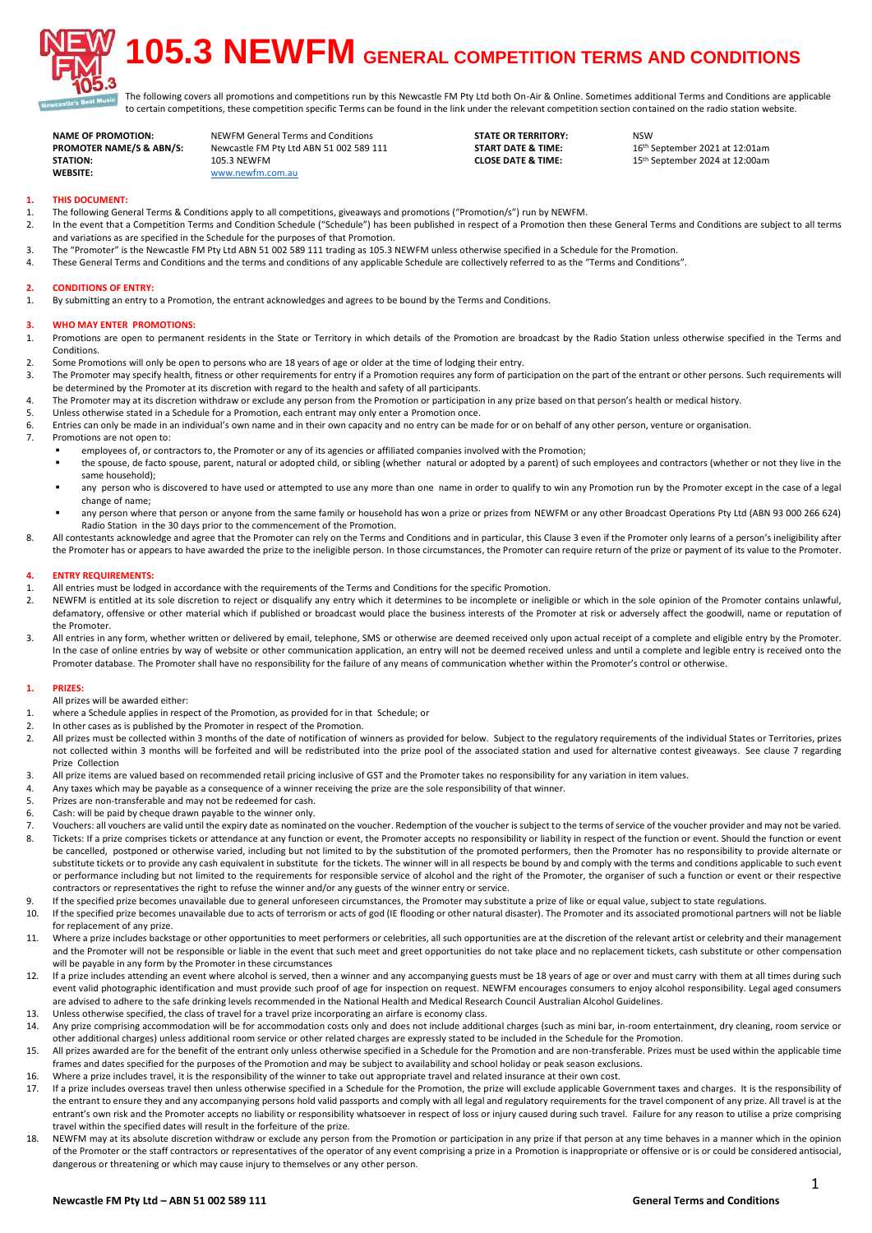

# **105.3 NEWFM GENERAL COMPETITION TERMS AND CONDITIONS**

<sub>alc</sub> The following covers all promotions and competitions run by this Newcastle FM Pty Ltd both On-Air & Online. Sometimes additional Terms and Conditions are applicable to certain competitions, these competition specific Terms can be found in the link under the relevant competition section contained on the radio station website.

**NAME OF PROMOTION:** NEWFM General Terms and Conditions **STATE OR TERRITORY:** NSW<br>**PROMOTER NAME/S & ABN/S:** Newcastle FM Pty Ltd ABN 51 002 589 111 **START DATE & TIME:** 16<sup>th</sup> September 2021 at 12:01am **PROMOTER NAME:** Newcastle FM Pty Ltd ABN 51 002 589 111 **START DATE & TIME:** 105.3 NEWFM **STATION:** 105.3 NEWFM 1005.3 NEWFM **CLOSE DATE & TIME:** 15<sup>th</sup> September 2024 at 12:00am<br> **WERSITE WEBSITE:** [www.newfm.com.au](http://www.newfm.com.au/)

# **1. THIS DOCUMENT:**

- 1. The following General Terms & Conditions apply to all competitions, giveaways and promotions ("Promotion/s") run by NEWFM.
- 2. In the event that a Competition Terms and Condition Schedule ("Schedule") has been published in respect of a Promotion then these General Terms and Conditions are subject to all terms and variations as are specified in the Schedule for the purposes of that Promotion.
- 3. The "Promoter" is the Newcastle FM Pty Ltd ABN 51 002 589 111 trading as 105.3 NEWFM unless otherwise specified in a Schedule for the Promotion.<br>4. These General Terms and Conditions and the terms and conditions of any
- These General Terms and Conditions and the terms and conditions of any applicable Schedule are collectively referred to as the "Terms and Conditions".

### **2. CONDITIONS OF ENTRY:**

1. By submitting an entry to a Promotion, the entrant acknowledges and agrees to be bound by the Terms and Conditions.

# **3. WHO MAY ENTER PROMOTIONS:**

- 1. Promotions are open to permanent residents in the State or Territory in which details of the Promotion are broadcast by the Radio Station unless otherwise specified in the Terms and **Conditions**
- 2. Some Promotions will only be open to persons who are 18 years of age or older at the time of lodging their entry.
- 3. The Promoter may specify health, fitness or other requirements for entry if a Promotion requires any form of participation on the part of the entrant or other persons. Such requirements will be determined by the Promoter at its discretion with regard to the health and safety of all participants.
- 4. The Promoter may at its discretion withdraw or exclude any person from the Promotion or participation in any prize based on that person's health or medical history.
- 5. Unless otherwise stated in a Schedule for a Promotion, each entrant may only enter a Promotion once.
- 6. Entries can only be made in an individual's own name and in their own capacity and no entry can be made for or on behalf of any other person, venture or organisation.<br>7 Promotions are not onen to:
- Promotions are not open to:
	- employees of, or contractors to, the Promoter or any of its agencies or affiliated companies involved with the Promotion;
		- \* the spouse, de facto spouse, parent, natural or adopted child, or sibling (whether natural or adopted by a parent) of such employees and contractors (whether or not they live in the same household);
		- " any person who is discovered to have used or attempted to use any more than one name in order to qualify to win any Promotion run by the Promoter except in the case of a legal change of name;
		- any person where that person or anyone from the same family or household has won a prize or prizes from NEWFM or any other Broadcast Operations Pty Ltd (ABN 93 000 266 624) Radio Station in the 30 days prior to the commencement of the Promotion.
- 8. All contestants acknowledge and agree that the Promoter can rely on the Terms and Conditions and in particular, this Clause 3 even if the Promoter only learns of a person's ineligibility after the Promoter has or appears to have awarded the prize to the ineligible person. In those circumstances, the Promoter can require return of the prize or payment of its value to the Promoter.

# **4. ENTRY REQUIREMENTS:**

- 1. All entries must be lodged in accordance with the requirements of the Terms and Conditions for the specific Promotion.<br>2. NEWEM is entitled at its sole discretion to reject or disqualify any entry which it determines to
- NEWFM is entitled at its sole discretion to reject or disqualify any entry which it determines to be incomplete or ineligible or which in the sole opinion of the Promoter contains unlawful, defamatory, offensive or other material which if published or broadcast would place the business interests of the Promoter at risk or adversely affect the goodwill, name or reputation of the Promoter.
- 3. All entries in any form, whether written or delivered by email, telephone, SMS or otherwise are deemed received only upon actual receipt of a complete and eligible entry by the Promoter. In the case of online entries by way of website or other communication application, an entry will not be deemed received unless and until a complete and legible entry is received onto the Promoter database. The Promoter shall have no responsibility for the failure of any means of communication whether within the Promoter's control or otherwise.

#### **1. PRIZES:**

All prizes will be awarded either:

- 1. where a Schedule applies in respect of the Promotion, as provided for in that Schedule; or
- 2. In other cases as is published by the Promoter in respect of the Promotion.
- 2. All prizes must be collected within 3 months of the date of notification of winners as provided for below. Subject to the regulatory requirements of the individual States or Territories, prizes not collected within 3 months will be forfeited and will be redistributed into the prize pool of the associated station and used for alternative contest giveaways. See clause 7 regarding Prize Collection
- 3. All prize items are valued based on recommended retail pricing inclusive of GST and the Promoter takes no responsibility for any variation in item values.
- 4. Any taxes which may be payable as a consequence of a winner receiving the prize are the sole responsibility of that winner.
- 5. Prizes are non-transferable and may not be redeemed for cash.
- 6. Cash: will be paid by cheque drawn payable to the winner only.<br>7. Vouchers: all vouchers are valid until the expiry date as nominat
- 7. Vouchers: all vouchers are valid until the expiry date as nominated on the voucher. Redemption of the voucher is subject to the terms of service of the voucher provider and may not be varied.<br>8. Tickets: If a prize comp Tickets: If a prize comprises tickets or attendance at any function or event, the Promoter accepts no responsibility or liability in respect of the function or event. Should the function or event be cancelled, postponed or otherwise varied, including but not limited to by the substitution of the promoted performers, then the Promoter has no responsibility to provide alternate or substitute tickets or to provide any cash equivalent in substitute for the tickets. The winner will in all respects be bound by and comply with the terms and conditions applicable to such event or performance including but not limited to the requirements for responsible service of alcohol and the right of the Promoter, the organiser of such a function or event or their respective contractors or representatives the right to refuse the winner and/or any guests of the winner entry or service.
- 9. If the specified prize becomes unavailable due to general unforeseen circumstances, the Promoter may substitute a prize of like or equal value, subject to state regulations.
- 10. If the specified prize becomes unavailable due to acts of terrorism or acts of god (IE flooding or other natural disaster). The Promoter and its associated promotional partners will not be liable for replacement of any prize.
- 11. Where a prize includes backstage or other opportunities to meet performers or celebrities, all such opportunities are at the discretion of the relevant artist or celebrity and their management and the Promoter will not be responsible or liable in the event that such meet and greet opportunities do not take place and no replacement tickets, cash substitute or other compensation will be payable in any form by the Promoter in these circumstances
- 12. If a prize includes attending an event where alcohol is served, then a winner and any accompanying guests must be 18 years of age or over and must carry with them at all times during such event valid photographic identification and must provide such proof of age for inspection on request. NEWFM encourages consumers to enjoy alcohol responsibility. Legal aged consumers are advised to adhere to the safe drinking levels recommended in the National Health and Medical Research Council Australian Alcohol Guidelines.
- 13. Unless otherwise specified, the class of travel for a travel prize incorporating an airfare is economy class.
- 14. Any prize comprising accommodation will be for accommodation costs only and does not include additional charges (such as mini bar, in-room entertainment, dry cleaning, room service or other additional charges) unless additional room service or other related charges are expressly stated to be included in the Schedule for the Promotion.
- 15. All prizes awarded are for the benefit of the entrant only unless otherwise specified in a Schedule for the Promotion and are non-transferable. Prizes must be used within the applicable time frames and dates specified for the purposes of the Promotion and may be subject to availability and school holiday or peak season exclusions.
- 16. Where a prize includes travel, it is the responsibility of the winner to take out appropriate travel and related insurance at their own cost.
- 17. If a prize includes overseas travel then unless otherwise specified in a Schedule for the Promotion, the prize will exclude applicable Government taxes and charges. It is the responsibility of the entrant to ensure they and any accompanying persons hold valid passports and comply with all legal and regulatory requirements for the travel component of any prize. All travel is at the entrant's own risk and the Promoter accepts no liability or responsibility whatsoever in respect of loss or injury caused during such travel. Failure for any reason to utilise a prize comprising travel within the specified dates will result in the forfeiture of the prize.
- 18. NEWFM may at its absolute discretion withdraw or exclude any person from the Promotion or participation in any prize if that person at any time behaves in a manner which in the opinion of the Promoter or the staff contractors or representatives of the operator of any event comprising a prize in a Promotion is inappropriate or offensive or is or could be considered antisocial, dangerous or threatening or which may cause injury to themselves or any other person.